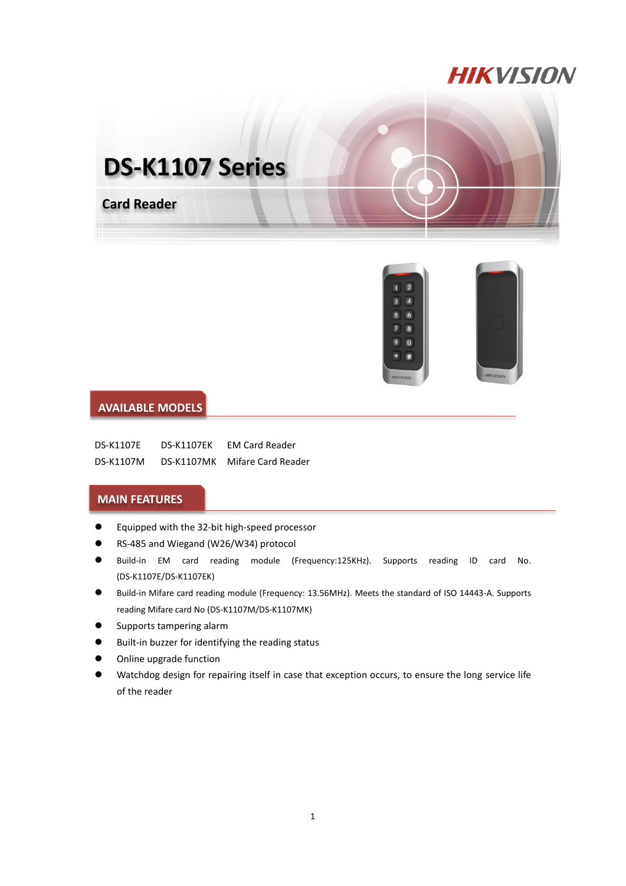## **HIKVISION**





## **AVAILABLE MODELS**

| <b>DS-K1107E</b> | <b>DS-K1107EK</b> | <b>EM Card Reader</b> |
|------------------|-------------------|-----------------------|
| DS-K1107M        | <b>DS-K1107MK</b> | Mifare Card Reader    |

## **MAIN FEATURES**

- Equipped with the 32-bit high-speed processor
- RS-485 and Wiegand (W26/W34) protocol
- Build-in EM card reading module (Frequency:125KHz). Supports reading ID card No. (DS-K1107E/DS-K1107EK)
- Build-in Mifare card reading module (Frequency: 13.56MHz). Meets the standard of ISO 14443-A. Supports reading Mifare card No (DS-K1107M/DS-K1107MK)
- **•** Supports tampering alarm
- Built-in buzzer for identifying the reading status
- Online upgrade function
- Watchdog design for repairing itself in case that exception occurs, to ensure the long service life of the reader